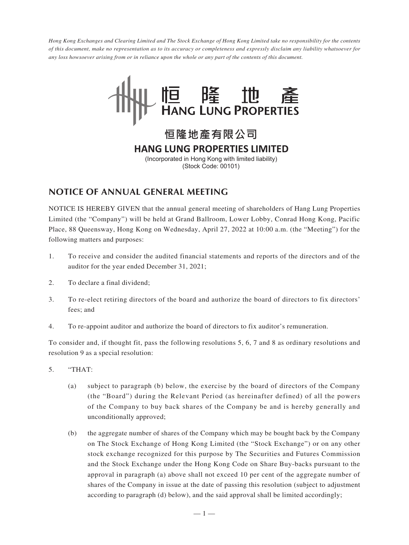*Hong Kong Exchanges and Clearing Limited and The Stock Exchange of Hong Kong Limited take no responsibility for the contents of this document, make no representation as to its accuracy or completeness and expressly disclaim any liability whatsoever for any loss howsoever arising from or in reliance upon the whole or any part of the contents of this document.*



## **NOTICE OF ANNUAL GENERAL MEETING**

NOTICE IS HEREBY GIVEN that the annual general meeting of shareholders of Hang Lung Properties Limited (the "Company") will be held at Grand Ballroom, Lower Lobby, Conrad Hong Kong, Pacific Place, 88 Queensway, Hong Kong on Wednesday, April 27, 2022 at 10:00 a.m. (the "Meeting") for the following matters and purposes:

- 1. To receive and consider the audited financial statements and reports of the directors and of the auditor for the year ended December 31, 2021;
- 2. To declare a final dividend;
- 3. To re-elect retiring directors of the board and authorize the board of directors to fix directors' fees; and
- 4. To re-appoint auditor and authorize the board of directors to fix auditor's remuneration.

To consider and, if thought fit, pass the following resolutions 5, 6, 7 and 8 as ordinary resolutions and resolution 9 as a special resolution:

- 5. "THAT:
	- (a) subject to paragraph (b) below, the exercise by the board of directors of the Company (the "Board") during the Relevant Period (as hereinafter defined) of all the powers of the Company to buy back shares of the Company be and is hereby generally and unconditionally approved;
	- (b) the aggregate number of shares of the Company which may be bought back by the Company on The Stock Exchange of Hong Kong Limited (the "Stock Exchange") or on any other stock exchange recognized for this purpose by The Securities and Futures Commission and the Stock Exchange under the Hong Kong Code on Share Buy-backs pursuant to the approval in paragraph (a) above shall not exceed 10 per cent of the aggregate number of shares of the Company in issue at the date of passing this resolution (subject to adjustment according to paragraph (d) below), and the said approval shall be limited accordingly;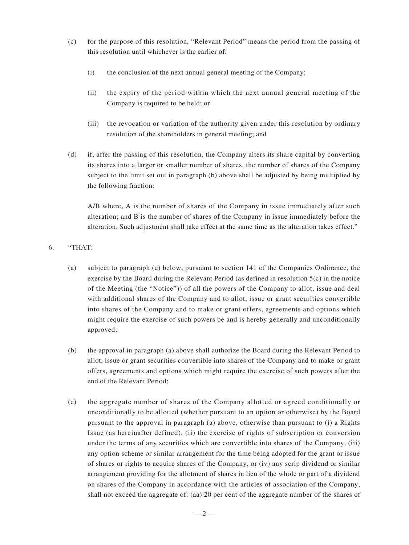- (c) for the purpose of this resolution, "Relevant Period" means the period from the passing of this resolution until whichever is the earlier of:
	- (i) the conclusion of the next annual general meeting of the Company;
	- (ii) the expiry of the period within which the next annual general meeting of the Company is required to be held; or
	- (iii) the revocation or variation of the authority given under this resolution by ordinary resolution of the shareholders in general meeting; and
- (d) if, after the passing of this resolution, the Company alters its share capital by converting its shares into a larger or smaller number of shares, the number of shares of the Company subject to the limit set out in paragraph (b) above shall be adjusted by being multiplied by the following fraction:

A/B where, A is the number of shares of the Company in issue immediately after such alteration; and B is the number of shares of the Company in issue immediately before the alteration. Such adjustment shall take effect at the same time as the alteration takes effect."

- 6. "THAT:
	- (a) subject to paragraph (c) below, pursuant to section 141 of the Companies Ordinance, the exercise by the Board during the Relevant Period (as defined in resolution 5(c) in the notice of the Meeting (the "Notice")) of all the powers of the Company to allot, issue and deal with additional shares of the Company and to allot, issue or grant securities convertible into shares of the Company and to make or grant offers, agreements and options which might require the exercise of such powers be and is hereby generally and unconditionally approved;
	- (b) the approval in paragraph (a) above shall authorize the Board during the Relevant Period to allot, issue or grant securities convertible into shares of the Company and to make or grant offers, agreements and options which might require the exercise of such powers after the end of the Relevant Period;
	- (c) the aggregate number of shares of the Company allotted or agreed conditionally or unconditionally to be allotted (whether pursuant to an option or otherwise) by the Board pursuant to the approval in paragraph (a) above, otherwise than pursuant to (i) a Rights Issue (as hereinafter defined), (ii) the exercise of rights of subscription or conversion under the terms of any securities which are convertible into shares of the Company, (iii) any option scheme or similar arrangement for the time being adopted for the grant or issue of shares or rights to acquire shares of the Company, or (iv) any scrip dividend or similar arrangement providing for the allotment of shares in lieu of the whole or part of a dividend on shares of the Company in accordance with the articles of association of the Company, shall not exceed the aggregate of: (aa) 20 per cent of the aggregate number of the shares of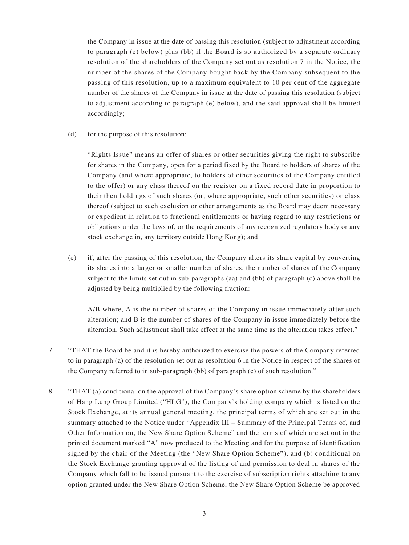the Company in issue at the date of passing this resolution (subject to adjustment according to paragraph (e) below) plus (bb) if the Board is so authorized by a separate ordinary resolution of the shareholders of the Company set out as resolution 7 in the Notice, the number of the shares of the Company bought back by the Company subsequent to the passing of this resolution, up to a maximum equivalent to 10 per cent of the aggregate number of the shares of the Company in issue at the date of passing this resolution (subject to adjustment according to paragraph (e) below), and the said approval shall be limited accordingly;

(d) for the purpose of this resolution:

"Rights Issue" means an offer of shares or other securities giving the right to subscribe for shares in the Company, open for a period fixed by the Board to holders of shares of the Company (and where appropriate, to holders of other securities of the Company entitled to the offer) or any class thereof on the register on a fixed record date in proportion to their then holdings of such shares (or, where appropriate, such other securities) or class thereof (subject to such exclusion or other arrangements as the Board may deem necessary or expedient in relation to fractional entitlements or having regard to any restrictions or obligations under the laws of, or the requirements of any recognized regulatory body or any stock exchange in, any territory outside Hong Kong); and

(e) if, after the passing of this resolution, the Company alters its share capital by converting its shares into a larger or smaller number of shares, the number of shares of the Company subject to the limits set out in sub-paragraphs (aa) and (bb) of paragraph (c) above shall be adjusted by being multiplied by the following fraction:

A/B where, A is the number of shares of the Company in issue immediately after such alteration; and B is the number of shares of the Company in issue immediately before the alteration. Such adjustment shall take effect at the same time as the alteration takes effect."

- 7. "THAT the Board be and it is hereby authorized to exercise the powers of the Company referred to in paragraph (a) of the resolution set out as resolution 6 in the Notice in respect of the shares of the Company referred to in sub-paragraph (bb) of paragraph (c) of such resolution."
- 8. "THAT (a) conditional on the approval of the Company's share option scheme by the shareholders of Hang Lung Group Limited ("HLG"), the Company's holding company which is listed on the Stock Exchange, at its annual general meeting, the principal terms of which are set out in the summary attached to the Notice under "Appendix III – Summary of the Principal Terms of, and Other Information on, the New Share Option Scheme" and the terms of which are set out in the printed document marked "A" now produced to the Meeting and for the purpose of identification signed by the chair of the Meeting (the "New Share Option Scheme"), and (b) conditional on the Stock Exchange granting approval of the listing of and permission to deal in shares of the Company which fall to be issued pursuant to the exercise of subscription rights attaching to any option granted under the New Share Option Scheme, the New Share Option Scheme be approved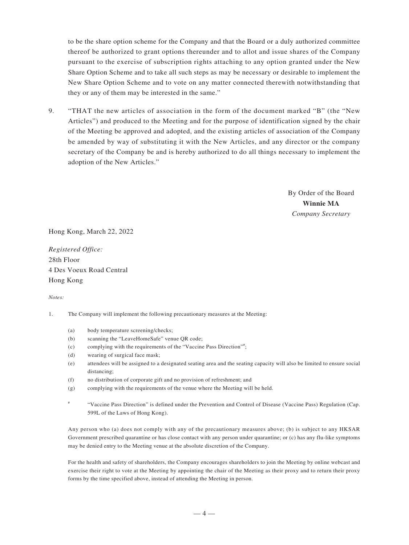to be the share option scheme for the Company and that the Board or a duly authorized committee thereof be authorized to grant options thereunder and to allot and issue shares of the Company pursuant to the exercise of subscription rights attaching to any option granted under the New Share Option Scheme and to take all such steps as may be necessary or desirable to implement the New Share Option Scheme and to vote on any matter connected therewith notwithstanding that they or any of them may be interested in the same."

9. "THAT the new articles of association in the form of the document marked "B" (the "New Articles") and produced to the Meeting and for the purpose of identification signed by the chair of the Meeting be approved and adopted, and the existing articles of association of the Company be amended by way of substituting it with the New Articles, and any director or the company secretary of the Company be and is hereby authorized to do all things necessary to implement the adoption of the New Articles."

> By Order of the Board **Winnie MA** *Company Secretary*

Hong Kong, March 22, 2022

*Registered Office:* 28th Floor 4 Des Voeux Road Central Hong Kong

## *Notes:*

- 1. The Company will implement the following precautionary measures at the Meeting:
	- (a) body temperature screening/checks;
	- (b) scanning the "LeaveHomeSafe" venue QR code;
	- (c) complying with the requirements of the "Vaccine Pass Direction"# ;
	- (d) wearing of surgical face mask;
	- (e) attendees will be assigned to a designated seating area and the seating capacity will also be limited to ensure social distancing;
	- (f) no distribution of corporate gift and no provision of refreshment; and
	- (g) complying with the requirements of the venue where the Meeting will be held.
	- # "Vaccine Pass Direction" is defined under the Prevention and Control of Disease (Vaccine Pass) Regulation (Cap. 599L of the Laws of Hong Kong).

Any person who (a) does not comply with any of the precautionary measures above; (b) is subject to any HKSAR Government prescribed quarantine or has close contact with any person under quarantine; or (c) has any flu-like symptoms may be denied entry to the Meeting venue at the absolute discretion of the Company.

For the health and safety of shareholders, the Company encourages shareholders to join the Meeting by online webcast and exercise their right to vote at the Meeting by appointing the chair of the Meeting as their proxy and to return their proxy forms by the time specified above, instead of attending the Meeting in person.